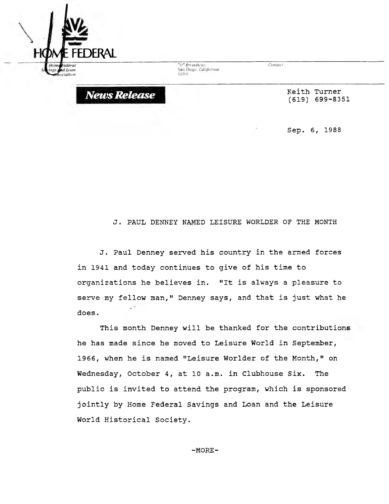

*News Release*

*-'(J-Broadway San Diego. California 92101*

*Contact:*

**Keith Turner (619) 699-8351**

**Sep. 6, 1988**

## **J. PAUL DENNEY NAMED LEISURE WORLDER OF THE MONTH**

**J. Paul Denney served his country in the armed forces in 1941 and today continues to give of his time to organizations he believes in. ''It is always a pleasure to serve my fellow man," Denney says, and that is just what he does.**

**This month Denney will be thanked for the contributions he has made since he moved to Leisure World in September, 1966, when he is named "Leisure Worlder of the Month," on Wednesday, October 4, at 10 a.m. in Clubhouse Six. The public is invited to attend the program, which is sponsored jointly by Home Federal Savings and Loan and the Leisure World Historical Society.**

**-MORE-**